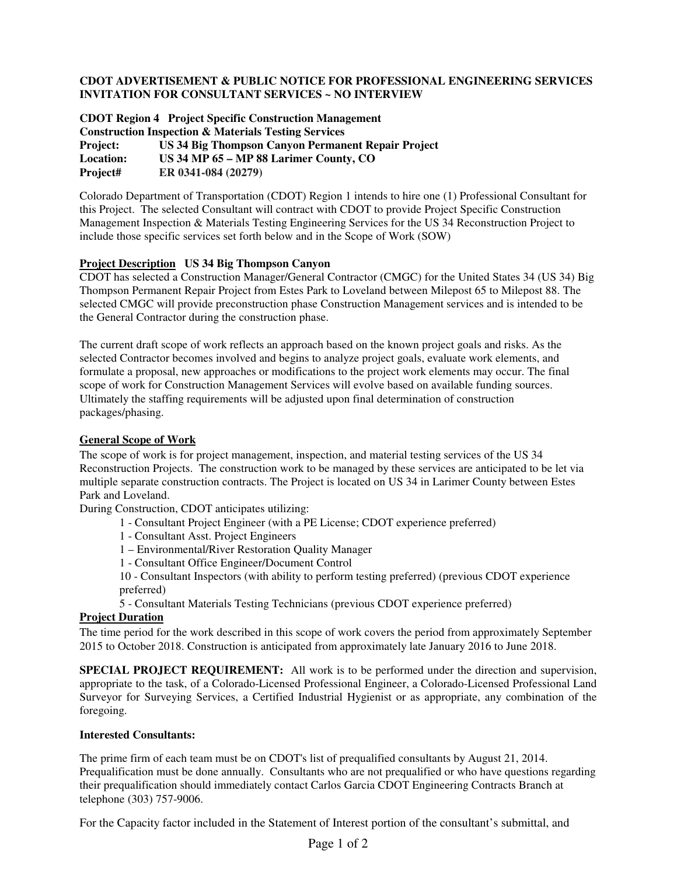## **CDOT ADVERTISEMENT & PUBLIC NOTICE FOR PROFESSIONAL ENGINEERING SERVICES INVITATION FOR CONSULTANT SERVICES ~ NO INTERVIEW**

**CDOT Region 4 Project Specific Construction Management Construction Inspection & Materials Testing Services Project: US 34 Big Thompson Canyon Permanent Repair Project Location: US 34 MP 65 – MP 88 Larimer County, CO Project# ER 0341-084 (20279)**

Colorado Department of Transportation (CDOT) Region 1 intends to hire one (1) Professional Consultant for this Project. The selected Consultant will contract with CDOT to provide Project Specific Construction Management Inspection & Materials Testing Engineering Services for the US 34 Reconstruction Project to include those specific services set forth below and in the Scope of Work (SOW)

## **Project Description US 34 Big Thompson Canyon**

CDOT has selected a Construction Manager/General Contractor (CMGC) for the United States 34 (US 34) Big Thompson Permanent Repair Project from Estes Park to Loveland between Milepost 65 to Milepost 88. The selected CMGC will provide preconstruction phase Construction Management services and is intended to be the General Contractor during the construction phase.

The current draft scope of work reflects an approach based on the known project goals and risks. As the selected Contractor becomes involved and begins to analyze project goals, evaluate work elements, and formulate a proposal, new approaches or modifications to the project work elements may occur. The final scope of work for Construction Management Services will evolve based on available funding sources. Ultimately the staffing requirements will be adjusted upon final determination of construction packages/phasing.

### **General Scope of Work**

The scope of work is for project management, inspection, and material testing services of the US 34 Reconstruction Projects. The construction work to be managed by these services are anticipated to be let via multiple separate construction contracts. The Project is located on US 34 in Larimer County between Estes Park and Loveland.

During Construction, CDOT anticipates utilizing:

- 1 Consultant Project Engineer (with a PE License; CDOT experience preferred)
- 1 Consultant Asst. Project Engineers
- 1 Environmental/River Restoration Quality Manager
- 1 Consultant Office Engineer/Document Control
- 10 Consultant Inspectors (with ability to perform testing preferred) (previous CDOT experience preferred)
- 5 Consultant Materials Testing Technicians (previous CDOT experience preferred)

## **Project Duration**

The time period for the work described in this scope of work covers the period from approximately September 2015 to October 2018. Construction is anticipated from approximately late January 2016 to June 2018.

**SPECIAL PROJECT REQUIREMENT:** All work is to be performed under the direction and supervision, appropriate to the task, of a Colorado-Licensed Professional Engineer, a Colorado-Licensed Professional Land Surveyor for Surveying Services, a Certified Industrial Hygienist or as appropriate, any combination of the foregoing.

#### **Interested Consultants:**

The prime firm of each team must be on CDOT's list of prequalified consultants by August 21, 2014. Prequalification must be done annually. Consultants who are not prequalified or who have questions regarding their prequalification should immediately contact Carlos Garcia CDOT Engineering Contracts Branch at telephone (303) 757-9006.

For the Capacity factor included in the Statement of Interest portion of the consultant's submittal, and